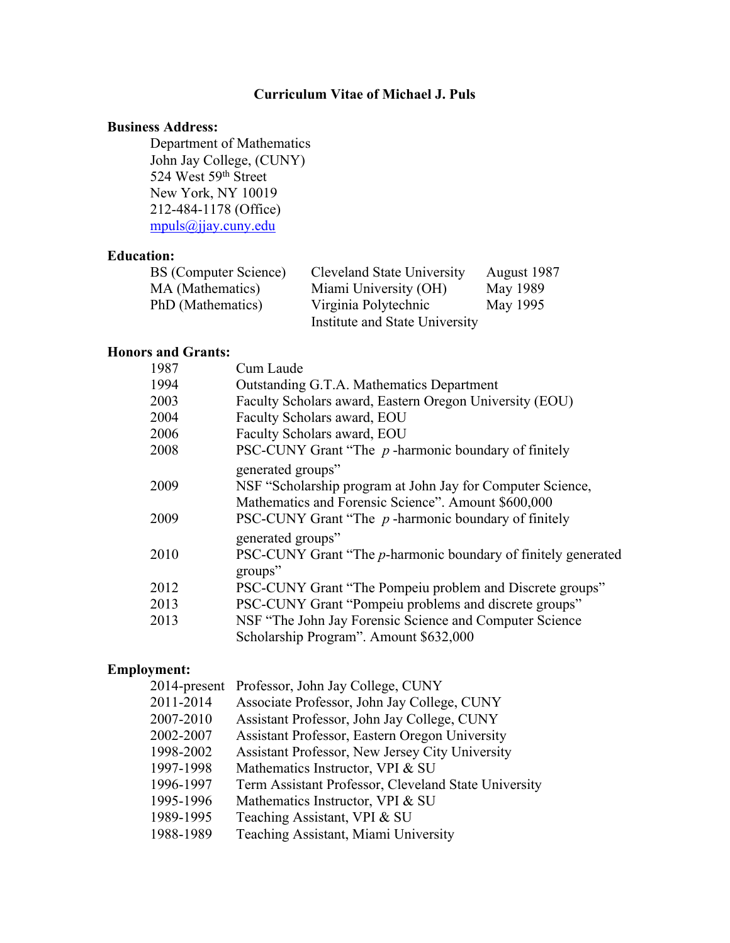# **Curriculum Vitae of Michael J. Puls**

### **Business Address:**

 Department of Mathematics John Jay College, (CUNY) 524 West 59th Street New York, NY 10019 212-484-1178 (Office) [mpuls@jjay.cuny.edu](mailto:mpuls@jjay.cuny.edu)

## **Education:**

| <b>BS</b> (Computer Science) | Cleveland State University     | August 1987 |
|------------------------------|--------------------------------|-------------|
| MA (Mathematics)             | Miami University (OH)          | May 1989    |
| PhD (Mathematics)            | Virginia Polytechnic           | May 1995    |
|                              | Institute and State University |             |

## **Honors and Grants:**

| 1987 | Cum Laude                                                     |
|------|---------------------------------------------------------------|
| 1994 | Outstanding G.T.A. Mathematics Department                     |
| 2003 | Faculty Scholars award, Eastern Oregon University (EOU)       |
| 2004 | Faculty Scholars award, EOU                                   |
| 2006 | Faculty Scholars award, EOU                                   |
| 2008 | PSC-CUNY Grant "The $p$ -harmonic boundary of finitely        |
|      | generated groups"                                             |
| 2009 | NSF "Scholarship program at John Jay for Computer Science,    |
|      | Mathematics and Forensic Science". Amount \$600,000           |
| 2009 | PSC-CUNY Grant "The $p$ -harmonic boundary of finitely        |
|      | generated groups"                                             |
| 2010 | PSC-CUNY Grant "The p-harmonic boundary of finitely generated |
|      | groups"                                                       |
| 2012 | PSC-CUNY Grant "The Pompeiu problem and Discrete groups"      |
| 2013 | PSC-CUNY Grant "Pompeiu problems and discrete groups"         |
| 2013 | NSF "The John Jay Forensic Science and Computer Science"      |
|      | Scholarship Program". Amount \$632,000                        |
|      |                                                               |

# **Employment:**

| 2014-present Professor, John Jay College, CUNY       |
|------------------------------------------------------|
| Associate Professor, John Jay College, CUNY          |
| Assistant Professor, John Jay College, CUNY          |
| Assistant Professor, Eastern Oregon University       |
| Assistant Professor, New Jersey City University      |
| Mathematics Instructor, VPI & SU                     |
| Term Assistant Professor, Cleveland State University |
| Mathematics Instructor, VPI & SU                     |
| Teaching Assistant, VPI & SU                         |
| Teaching Assistant, Miami University                 |
|                                                      |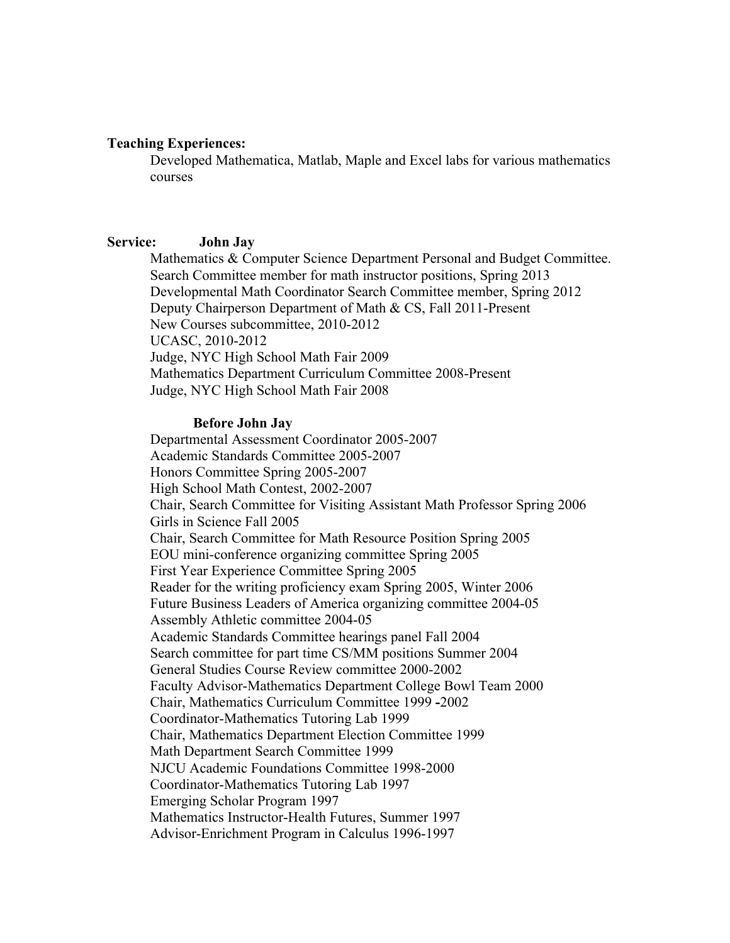### **Teaching Experiences:**

Developed Mathematica, Matlab, Maple and Excel labs for various mathematics courses

### **Service: John Jay**

Mathematics & Computer Science Department Personal and Budget Committee. Search Committee member for math instructor positions, Spring 2013 Developmental Math Coordinator Search Committee member, Spring 2012 Deputy Chairperson Department of Math & CS, Fall 2011-Present New Courses subcommittee, 2010-2012 UCASC, 2010-2012 Judge, NYC High School Math Fair 2009 Mathematics Department Curriculum Committee 2008-Present Judge, NYC High School Math Fair 2008

#### **Before John Jay**

Departmental Assessment Coordinator 2005-2007 Academic Standards Committee 2005-2007 Honors Committee Spring 2005-2007 High School Math Contest, 2002-2007 Chair, Search Committee for Visiting Assistant Math Professor Spring 2006 Girls in Science Fall 2005 Chair, Search Committee for Math Resource Position Spring 2005 EOU mini-conference organizing committee Spring 2005 First Year Experience Committee Spring 2005 Reader for the writing proficiency exam Spring 2005, Winter 2006 Future Business Leaders of America organizing committee 2004-05 Assembly Athletic committee 2004-05 Academic Standards Committee hearings panel Fall 2004 Search committee for part time CS/MM positions Summer 2004 General Studies Course Review committee 2000-2002 Faculty Advisor-Mathematics Department College Bowl Team 2000 Chair, Mathematics Curriculum Committee 1999 **-**2002 Coordinator-Mathematics Tutoring Lab 1999 Chair, Mathematics Department Election Committee 1999 Math Department Search Committee 1999 NJCU Academic Foundations Committee 1998-2000 Coordinator-Mathematics Tutoring Lab 1997 Emerging Scholar Program 1997 Mathematics Instructor-Health Futures, Summer 1997 Advisor-Enrichment Program in Calculus 1996-1997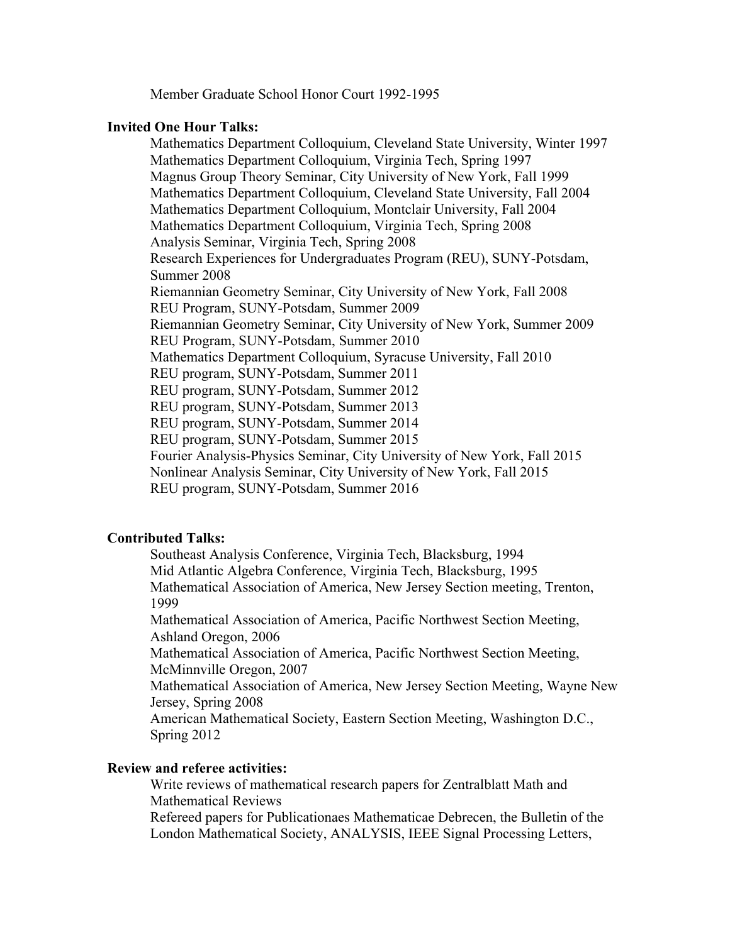Member Graduate School Honor Court 1992-1995

#### **Invited One Hour Talks:**

Mathematics Department Colloquium, Cleveland State University, Winter 1997 Mathematics Department Colloquium, Virginia Tech, Spring 1997 Magnus Group Theory Seminar, City University of New York, Fall 1999 Mathematics Department Colloquium, Cleveland State University, Fall 2004 Mathematics Department Colloquium, Montclair University, Fall 2004 Mathematics Department Colloquium, Virginia Tech, Spring 2008 Analysis Seminar, Virginia Tech, Spring 2008 Research Experiences for Undergraduates Program (REU), SUNY-Potsdam, Summer 2008 Riemannian Geometry Seminar, City University of New York, Fall 2008 REU Program, SUNY-Potsdam, Summer 2009 Riemannian Geometry Seminar, City University of New York, Summer 2009 REU Program, SUNY-Potsdam, Summer 2010 Mathematics Department Colloquium, Syracuse University, Fall 2010 REU program, SUNY-Potsdam, Summer 2011 REU program, SUNY-Potsdam, Summer 2012 REU program, SUNY-Potsdam, Summer 2013 REU program, SUNY-Potsdam, Summer 2014 REU program, SUNY-Potsdam, Summer 2015 Fourier Analysis-Physics Seminar, City University of New York, Fall 2015 Nonlinear Analysis Seminar, City University of New York, Fall 2015 REU program, SUNY-Potsdam, Summer 2016

## **Contributed Talks:**

Southeast Analysis Conference, Virginia Tech, Blacksburg, 1994 Mid Atlantic Algebra Conference, Virginia Tech, Blacksburg, 1995 Mathematical Association of America, New Jersey Section meeting, Trenton, 1999

Mathematical Association of America, Pacific Northwest Section Meeting, Ashland Oregon, 2006

Mathematical Association of America, Pacific Northwest Section Meeting, McMinnville Oregon, 2007

Mathematical Association of America, New Jersey Section Meeting, Wayne New Jersey, Spring 2008

American Mathematical Society, Eastern Section Meeting, Washington D.C., Spring 2012

### **Review and referee activities:**

Write reviews of mathematical research papers for Zentralblatt Math and Mathematical Reviews

Refereed papers for Publicationaes Mathematicae Debrecen, the Bulletin of the London Mathematical Society, ANALYSIS, IEEE Signal Processing Letters,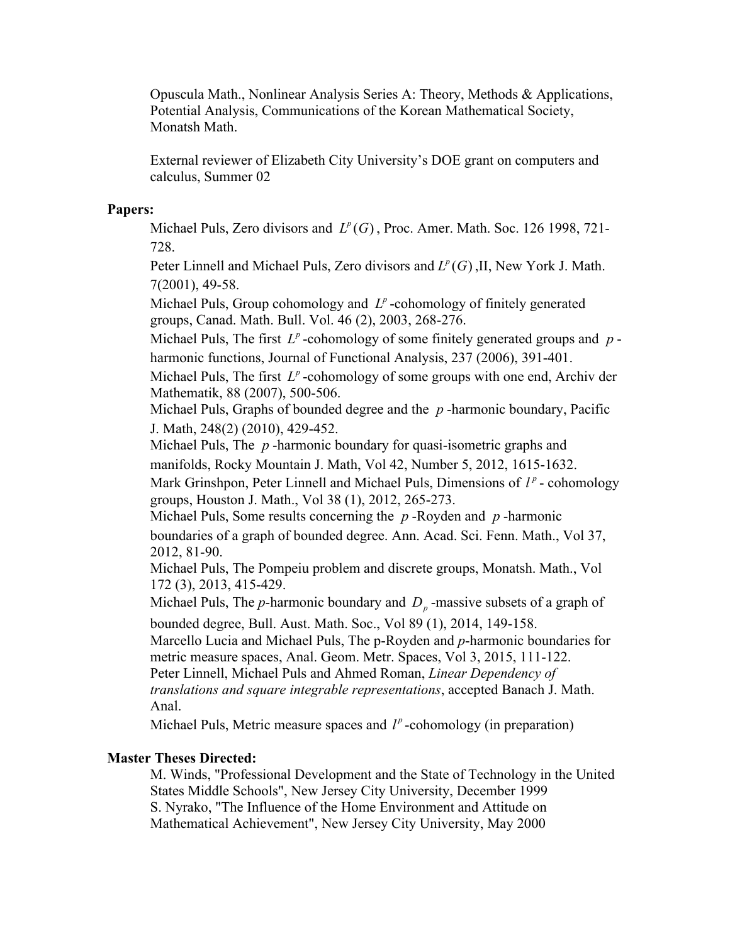Opuscula Math., Nonlinear Analysis Series A: Theory, Methods & Applications, Potential Analysis, Communications of the Korean Mathematical Society, Monatsh Math.

External reviewer of Elizabeth City University's DOE grant on computers and calculus, Summer 02

### **Papers:**

Michael Puls, Zero divisors and  $L^p(G)$ , Proc. Amer. Math. Soc. 126 1998, 721-728.

Peter Linnell and Michael Puls, Zero divisors and  $L^p(G)$ , II, New York J. Math. 7(2001), 49-58.

Michael Puls, Group cohomology and  $L^p$ -cohomology of finitely generated groups, Canad. Math. Bull. Vol. 46 (2), 2003, 268-276.

Michael Puls, The first  $L^p$ -cohomology of some finitely generated groups and  $p$ harmonic functions, Journal of Functional Analysis, 237 (2006), 391-401.

Michael Puls, The first  $L^p$ -cohomology of some groups with one end, Archiv der Mathematik, 88 (2007), 500-506.

Michael Puls, Graphs of bounded degree and the  $p$ -harmonic boundary, Pacific J. Math, 248(2) (2010), 429-452.

Michael Puls, The p-harmonic boundary for quasi-isometric graphs and manifolds, Rocky Mountain J. Math, Vol 42, Number 5, 2012, 1615-1632.

Mark Grinshpon, Peter Linnell and Michael Puls, Dimensions of  $l^p$  - cohomology groups, Houston J. Math., Vol 38 (1), 2012, 265-273.

Michael Puls, Some results concerning the  $p$ -Royden and  $p$ -harmonic boundaries of a graph of bounded degree. Ann. Acad. Sci. Fenn. Math., Vol 37, 2012, 81-90.

Michael Puls, The Pompeiu problem and discrete groups, Monatsh. Math., Vol 172 (3), 2013, 415-429.

Michael Puls, The *p*-harmonic boundary and  $D<sub>p</sub>$ -massive subsets of a graph of

bounded degree, Bull. Aust. Math. Soc., Vol 89 (1), 2014, 149-158.

Marcello Lucia and Michael Puls, The p-Royden and *p*-harmonic boundaries for metric measure spaces, Anal. Geom. Metr. Spaces, Vol 3, 2015, 111-122.

Peter Linnell, Michael Puls and Ahmed Roman, *Linear Dependency of translations and square integrable representations*, accepted Banach J. Math.

Anal.

Michael Puls, Metric measure spaces and  $l^p$ -cohomology (in preparation)

# **Master Theses Directed:**

M. Winds, "Professional Development and the State of Technology in the United States Middle Schools", New Jersey City University, December 1999 S. Nyrako, "The Influence of the Home Environment and Attitude on Mathematical Achievement", New Jersey City University, May 2000